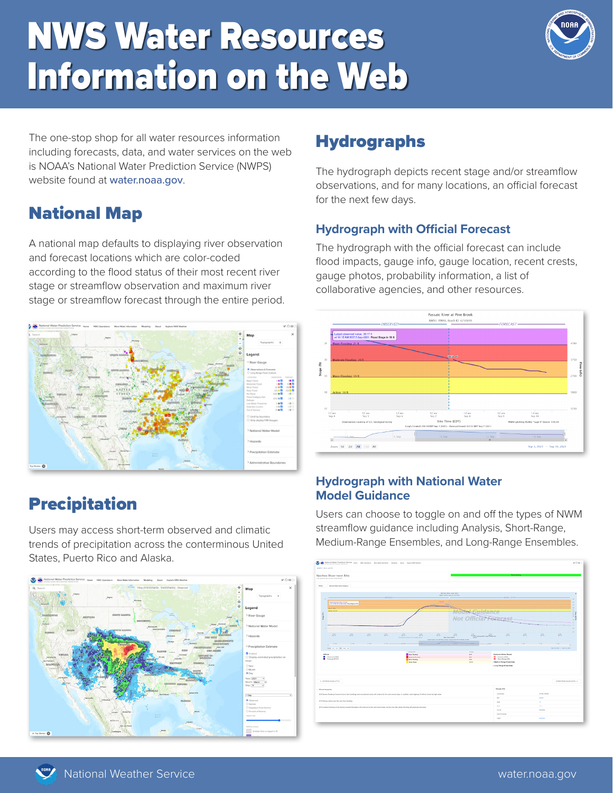# NWS Water Resources Information on the Web



The one-stop shop for all water resources information including forecasts, data, and water services on the web is NOAA's National Water Prediction Service (NWPS) website found at water.noaa.gov.

## National Map

A national map defaults to displaying river observation and forecast locations which are color-coded according to the flood status of their most recent river stage or streamflow observation and maximum river stage or streamflow forecast through the entire period.



# Precipitation

Users may access short-term observed and climatic trends of precipitation across the conterminous United States, Puerto Rico and Alaska.



## **Hydrographs**

The hydrograph depicts recent stage and/or streamflow observations, and for many locations, an official forecast for the next few days.

#### **Hydrograph with Official Forecast**

The hydrograph with the official forecast can include flood impacts, gauge info, gauge location, recent crests, gauge photos, probability information, a list of collaborative agencies, and other resources.



#### **Hydrograph with National Water Model Guidance**

Users can choose to toggle on and off the types of NWM streamflow guidance including Analysis, Short-Range, Medium-Range Ensembles, and Long-Range Ensembles.